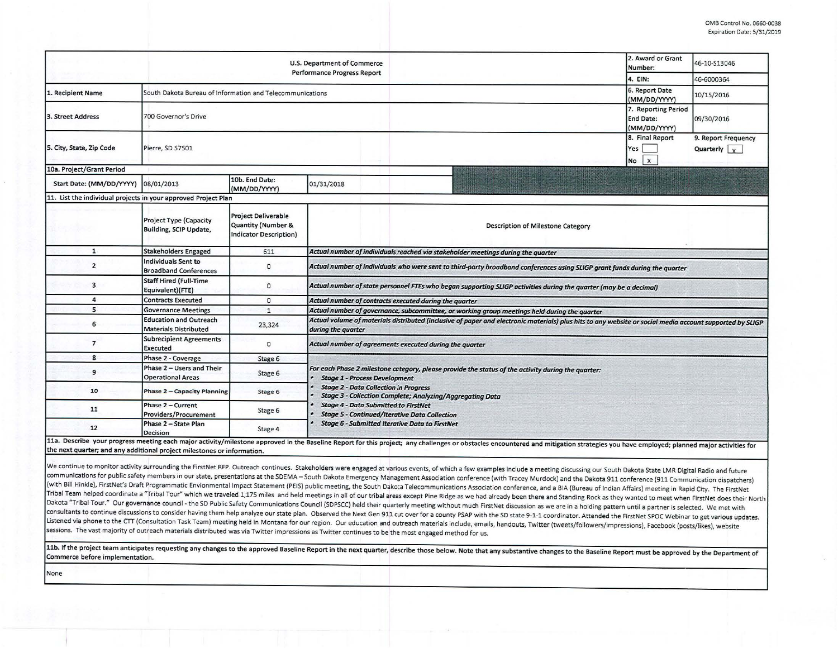|                                                                |                                                               |                                                                            | U.S. Department of Commerce<br><b>Performance Progress Report</b>                                                                                                              | 2. Award or Grant<br>Number:                     | 46-10-S13046                                |  |  |  |
|----------------------------------------------------------------|---------------------------------------------------------------|----------------------------------------------------------------------------|--------------------------------------------------------------------------------------------------------------------------------------------------------------------------------|--------------------------------------------------|---------------------------------------------|--|--|--|
|                                                                |                                                               |                                                                            |                                                                                                                                                                                | 4. EIN:                                          | 46-6000364                                  |  |  |  |
| 1. Recipient Name                                              | South Dakota Bureau of Information and Telecommunications     | 6. Report Date<br>(MM/DD/YYYY)                                             | 10/15/2016                                                                                                                                                                     |                                                  |                                             |  |  |  |
| 3. Street Address                                              | 700 Governor's Drive                                          |                                                                            |                                                                                                                                                                                | 7. Reporting Period<br>End Date:<br>(MM/DD/YYYY) | 09/30/2016                                  |  |  |  |
| 5. City, State, Zip Code                                       | Pierre, SD 57501                                              |                                                                            |                                                                                                                                                                                | 8. Final Report<br>Yes<br>$\mathsf{x}$<br>No     | 9. Report Frequency<br>Quarterly $\sqrt{x}$ |  |  |  |
| 10a. Project/Grant Period                                      |                                                               |                                                                            |                                                                                                                                                                                |                                                  |                                             |  |  |  |
| Start Date: (MM/DD/YYYY)                                       | 08/01/2013                                                    | 10b. End Date:<br>(MM/DD/YYYY)                                             | 01/31/2018                                                                                                                                                                     |                                                  |                                             |  |  |  |
| 11. List the individual projects in your approved Project Plan |                                                               |                                                                            |                                                                                                                                                                                |                                                  |                                             |  |  |  |
|                                                                | <b>Project Type (Capacity</b><br>Building, SCIP Update,       | <b>Project Deliverable</b><br>Quantity (Number &<br>Indicator Description) | <b>Description of Milestone Category</b>                                                                                                                                       |                                                  |                                             |  |  |  |
| 1                                                              | <b>Stakeholders Engaged</b>                                   | 611                                                                        | Actual number of individuals reached via stakeholder meetings during the quarter                                                                                               |                                                  |                                             |  |  |  |
| $\overline{2}$                                                 | <b>Individuals Sent to</b><br><b>Broadband Conferences</b>    | $\circ$                                                                    | Actual number of individuals who were sent to third-party broadband conferences using SLIGP grant funds during the quarter                                                     |                                                  |                                             |  |  |  |
| 3                                                              | <b>Staff Hired (Full-Time</b><br>Equivalent)(FTE)             | $\circ$                                                                    | Actual number of state personnel FTEs who began supporting SLIGP activities during the quarter (may be a decimal)                                                              |                                                  |                                             |  |  |  |
| 4                                                              | <b>Contracts Executed</b>                                     | $\circ$                                                                    | Actual number of contracts executed during the quarter                                                                                                                         |                                                  |                                             |  |  |  |
| 5                                                              | <b>Governance Meetings</b>                                    | $\mathbf{1}$                                                               | Actual number of governance, subcommittee, or working group meetings held during the quarter                                                                                   |                                                  |                                             |  |  |  |
| 6                                                              | <b>Education and Outreach</b><br><b>Materials Distributed</b> | 23,324                                                                     | Actual volume of materials distributed (inclusive of paper and electronic materials) plus hits to any website or social media account supported by SLIGP<br>during the quarter |                                                  |                                             |  |  |  |
| $\overline{7}$                                                 | <b>Subrecipient Agreements</b><br><b>Executed</b>             | $\Omega$                                                                   | Actual number of agreements executed during the quarter                                                                                                                        |                                                  |                                             |  |  |  |
| 8                                                              | Phase 2 - Coverage                                            | Stage 6                                                                    |                                                                                                                                                                                |                                                  |                                             |  |  |  |
| 9                                                              | Phase 2 - Users and Their<br><b>Operational Areas</b>         | Stage 6                                                                    | For each Phase 2 milestone category, please provide the status of the activity during the quarter:<br><b>Stage 1 - Process Development</b>                                     |                                                  |                                             |  |  |  |
| 10                                                             | <b>Phase 2 - Capacity Planning</b>                            | Stage 6                                                                    | <b>Stage 2 - Data Collection in Progress</b><br><b>Stage 3 - Collection Complete; Analyzing/Aggregating Data</b>                                                               |                                                  |                                             |  |  |  |
| 11                                                             | Phase 2 - Current<br>Providers/Procurement                    | Stage 6                                                                    | <b>Stage 4 - Data Submitted to FirstNet</b><br><b>Stage 5 - Continued/Iterative Data Collection</b>                                                                            |                                                  |                                             |  |  |  |
| 12<br>113 December vous program                                | Phase 2 - State Plan<br>Decision                              | Stage 4                                                                    | <b>Stage 6 - Submitted Iterative Data to FirstNet</b>                                                                                                                          |                                                  |                                             |  |  |  |

La. Describe your progress meeting each major activity/milestone approved in the Baseline Report for this project; any challenges or obstacles encountered and mitigation strategies you have employed; planned major activiti the next quarter; and any additional project milestones or information.

We continue to monitor activity surrounding the FirstNet RFP. Outreach continues. Stakeholders were engaged at various events, of which a few examples include a meeting discussing our South Dakota State LMR Digital Radio a communications for public safety members in our state, presentations at the SDEMA -South Dakota Emergency Management Association conference (with Tracey Murdock) and the Dakota 911 conference (911 Communication dispatchers) (with Bill Hinkle), FirstNet's Draft Programmatic Envionmental Impact Statement (PEIS) public meeting, the South Dakota Telecommunications Association conference, and a BIA (Bureau of Indian Affairs) meeting in Rapid City. Tribal Team helped coordinate a "Tribal Tour" which we traveled 1,175 miles and held meetings in all of our tribal areas except Pine Ridge as we had already been there and Standing Rock as they wanted to meet when FirstNet Dakota "Tribal Tour." Our governance council - the SD Public Safety Communications Council (SDPSCC) held their quarterly meeting without much FirstNet discussion as we are in a holding pattern until a partner is selected. consultants to continue discussions to consider having them help analyze our state plan. Observed the Next Gen 911 cut over for a county PSAP with the SD state 9-1-1 coordinator. Attended the FirstNet SPOC Webinar to get v Listened via phone to the CTT (Consultation Task Team) meeting held in Montana for our region. Our education and outreach materials include, emails, handouts, Twitter (tweets/followers/impressions), Facebook (posts/likes), sessions. The vast majority of outreach materials distributed was via Twitter impressions as Twitter continues to be the most engaged method for us.

11b. If the project team anticipates requesting any changes to the approved Baseline Report in the next quarter, describe those below. Note that any substantive changes to the Baseline Report must be approved by the Depart Commerce before implementation.

None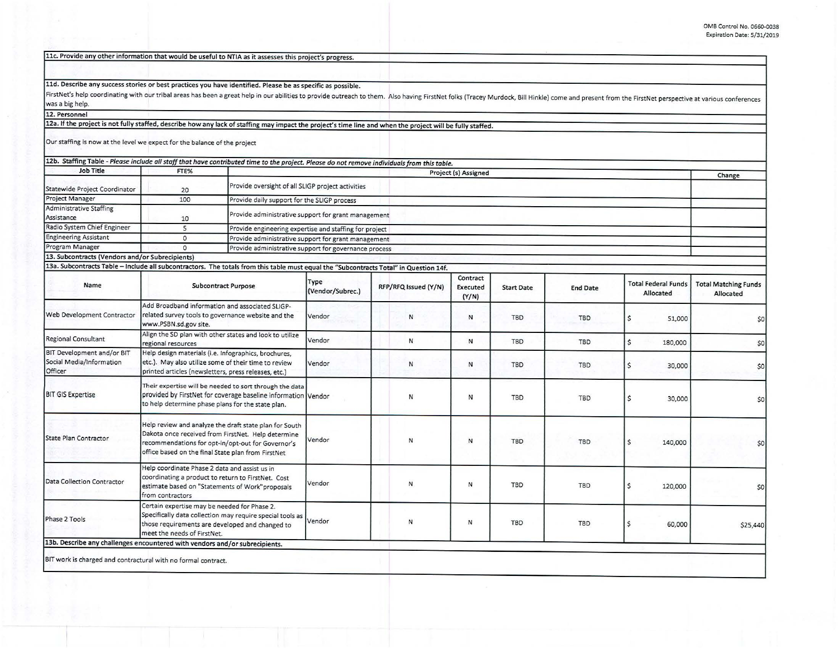| FirstNet's help coordinating with our tribal areas has been a great help in our abilities to provide outreach to them. Also having FirstNet folks (Tracey Murdock, Bill Hinkle) come and present from the FirstNet perspective<br>12a. If the project is not fully staffed, describe how any lack of staffing may impact the project's time line and when the project will be fully staffed.<br>12b. Staffing Table - Please include all staff that have contributed time to the project. Please do not remove individuals from this table.<br>13a. Subcontracts Table - Include all subcontractors. The totals from this table must equal the "Subcontracts Total" in Question 14f. | Project (s) Assigned |                                                       |                                                        |                                                     |                                             | Change                      |  |  |  |  |
|--------------------------------------------------------------------------------------------------------------------------------------------------------------------------------------------------------------------------------------------------------------------------------------------------------------------------------------------------------------------------------------------------------------------------------------------------------------------------------------------------------------------------------------------------------------------------------------------------------------------------------------------------------------------------------------|----------------------|-------------------------------------------------------|--------------------------------------------------------|-----------------------------------------------------|---------------------------------------------|-----------------------------|--|--|--|--|
|                                                                                                                                                                                                                                                                                                                                                                                                                                                                                                                                                                                                                                                                                      |                      |                                                       |                                                        |                                                     |                                             |                             |  |  |  |  |
|                                                                                                                                                                                                                                                                                                                                                                                                                                                                                                                                                                                                                                                                                      |                      |                                                       |                                                        |                                                     |                                             |                             |  |  |  |  |
|                                                                                                                                                                                                                                                                                                                                                                                                                                                                                                                                                                                                                                                                                      |                      |                                                       |                                                        |                                                     |                                             |                             |  |  |  |  |
|                                                                                                                                                                                                                                                                                                                                                                                                                                                                                                                                                                                                                                                                                      |                      |                                                       |                                                        |                                                     |                                             |                             |  |  |  |  |
|                                                                                                                                                                                                                                                                                                                                                                                                                                                                                                                                                                                                                                                                                      |                      |                                                       |                                                        |                                                     |                                             |                             |  |  |  |  |
|                                                                                                                                                                                                                                                                                                                                                                                                                                                                                                                                                                                                                                                                                      |                      |                                                       |                                                        |                                                     |                                             |                             |  |  |  |  |
|                                                                                                                                                                                                                                                                                                                                                                                                                                                                                                                                                                                                                                                                                      |                      |                                                       |                                                        |                                                     |                                             |                             |  |  |  |  |
|                                                                                                                                                                                                                                                                                                                                                                                                                                                                                                                                                                                                                                                                                      |                      |                                                       |                                                        |                                                     |                                             |                             |  |  |  |  |
|                                                                                                                                                                                                                                                                                                                                                                                                                                                                                                                                                                                                                                                                                      |                      |                                                       |                                                        |                                                     |                                             |                             |  |  |  |  |
|                                                                                                                                                                                                                                                                                                                                                                                                                                                                                                                                                                                                                                                                                      |                      |                                                       |                                                        |                                                     |                                             |                             |  |  |  |  |
|                                                                                                                                                                                                                                                                                                                                                                                                                                                                                                                                                                                                                                                                                      |                      |                                                       |                                                        |                                                     |                                             |                             |  |  |  |  |
|                                                                                                                                                                                                                                                                                                                                                                                                                                                                                                                                                                                                                                                                                      |                      |                                                       |                                                        |                                                     |                                             |                             |  |  |  |  |
|                                                                                                                                                                                                                                                                                                                                                                                                                                                                                                                                                                                                                                                                                      |                      |                                                       |                                                        |                                                     |                                             |                             |  |  |  |  |
|                                                                                                                                                                                                                                                                                                                                                                                                                                                                                                                                                                                                                                                                                      |                      |                                                       |                                                        |                                                     | Provide daily support for the SLIGP process |                             |  |  |  |  |
|                                                                                                                                                                                                                                                                                                                                                                                                                                                                                                                                                                                                                                                                                      |                      |                                                       |                                                        | Provide administrative support for grant management |                                             |                             |  |  |  |  |
|                                                                                                                                                                                                                                                                                                                                                                                                                                                                                                                                                                                                                                                                                      |                      |                                                       | Provide engineering expertise and staffing for project |                                                     |                                             |                             |  |  |  |  |
|                                                                                                                                                                                                                                                                                                                                                                                                                                                                                                                                                                                                                                                                                      |                      | Provide administrative support for grant management   |                                                        |                                                     |                                             |                             |  |  |  |  |
|                                                                                                                                                                                                                                                                                                                                                                                                                                                                                                                                                                                                                                                                                      |                      | Provide administrative support for governance process |                                                        |                                                     |                                             |                             |  |  |  |  |
|                                                                                                                                                                                                                                                                                                                                                                                                                                                                                                                                                                                                                                                                                      |                      |                                                       |                                                        |                                                     |                                             |                             |  |  |  |  |
|                                                                                                                                                                                                                                                                                                                                                                                                                                                                                                                                                                                                                                                                                      |                      |                                                       |                                                        |                                                     |                                             |                             |  |  |  |  |
| RFP/RFQ Issued (Y/N)                                                                                                                                                                                                                                                                                                                                                                                                                                                                                                                                                                                                                                                                 | Contract<br>Executed | <b>Start Date</b>                                     | <b>End Date</b>                                        | <b>Total Federal Funds</b><br>Allocated             |                                             | <b>Total Matching Funds</b> |  |  |  |  |
|                                                                                                                                                                                                                                                                                                                                                                                                                                                                                                                                                                                                                                                                                      | (Y/N)                |                                                       |                                                        |                                                     |                                             | Allocated                   |  |  |  |  |
| N                                                                                                                                                                                                                                                                                                                                                                                                                                                                                                                                                                                                                                                                                    | N                    | <b>TBD</b>                                            | <b>TBD</b>                                             | \$                                                  | 51,000                                      | \$0                         |  |  |  |  |
| N                                                                                                                                                                                                                                                                                                                                                                                                                                                                                                                                                                                                                                                                                    | N                    | TBD                                                   | TBD                                                    | Ś<br>180,000                                        |                                             | \$0                         |  |  |  |  |
| N                                                                                                                                                                                                                                                                                                                                                                                                                                                                                                                                                                                                                                                                                    | N                    | TBD                                                   | <b>TBD</b>                                             | \$                                                  | 30,000                                      | \$0                         |  |  |  |  |
| N                                                                                                                                                                                                                                                                                                                                                                                                                                                                                                                                                                                                                                                                                    | ${\sf N}$            | TBD                                                   | <b>TBD</b>                                             | \$                                                  | 30,000                                      | \$0                         |  |  |  |  |
| N                                                                                                                                                                                                                                                                                                                                                                                                                                                                                                                                                                                                                                                                                    | ${\sf N}$            | TBD                                                   | <b>TBD</b>                                             | \$<br>140,000                                       |                                             | \$0                         |  |  |  |  |
|                                                                                                                                                                                                                                                                                                                                                                                                                                                                                                                                                                                                                                                                                      | N                    | <b>TBD</b>                                            | <b>TBD</b>                                             | \$                                                  |                                             | \$0                         |  |  |  |  |
| N                                                                                                                                                                                                                                                                                                                                                                                                                                                                                                                                                                                                                                                                                    | N                    | TBD                                                   | <b>TBD</b>                                             | \$                                                  |                                             | \$25,440                    |  |  |  |  |
| N                                                                                                                                                                                                                                                                                                                                                                                                                                                                                                                                                                                                                                                                                    |                      |                                                       |                                                        |                                                     |                                             |                             |  |  |  |  |
|                                                                                                                                                                                                                                                                                                                                                                                                                                                                                                                                                                                                                                                                                      |                      |                                                       |                                                        |                                                     |                                             | 120,000<br>60,000           |  |  |  |  |